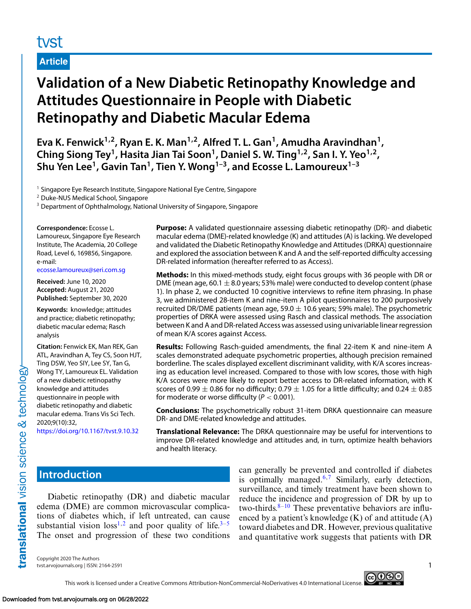# tyst

# **Article**

# **Validation of a New Diabetic Retinopathy Knowledge and Attitudes Questionnaire in People with Diabetic Retinopathy and Diabetic Macular Edema**

**Eva K. Fenwick1,2, Ryan E. K. Man1,2, Alfred T. L. Gan1, Amudha Aravindhan1,** Ching Siong Tey<sup>1</sup>, Hasita Jian Tai Soon<sup>1</sup>, Daniel S. W. Ting<sup>1,2</sup>, San I. Y. Yeo<sup>1,2</sup>, Shu Yen Lee<sup>1</sup>, Gavin Tan<sup>1</sup>, Tien Y. Wong<sup>1-3</sup>, and Ecosse L. Lamoureux<sup>1-3</sup>

<sup>1</sup> Singapore Eye Research Institute, Singapore National Eye Centre, Singapore

<sup>2</sup> Duke-NUS Medical School, Singapore

<sup>3</sup> Department of Ophthalmology, National University of Singapore, Singapore

**Correspondence:** Ecosse L.

Lamoureux, Singapore Eye Research Institute, The Academia, 20 College Road, Level 6, 169856, Singapore. e-mail:

[ecosse.lamoureux@seri.com.sg](mailto:ecosse.lamoureux@seri.com.sg)

**Received:** June 10, 2020 **Accepted:** August 21, 2020 **Published:** September 30, 2020

**Keywords:** knowledge; attitudes and practice; diabetic retinopathy; diabetic macular edema; Rasch analysis

**Citation:** Fenwick EK, Man REK, Gan ATL, Aravindhan A, Tey CS, Soon HJT, Ting DSW, Yeo SIY, Lee SY, Tan G, Wong TY, Lamoureux EL. Validation of a new diabetic retinopathy knowledge and attitudes questionnaire in people with diabetic retinopathy and diabetic macular edema. Trans Vis Sci Tech. 2020;9(10):32,

<https://doi.org/10.1167/tvst.9.10.32>

**Purpose:** A validated questionnaire assessing diabetic retinopathy (DR)- and diabetic macular edema (DME)-related knowledge (K) and attitudes (A) is lacking. We developed and validated the Diabetic Retinopathy Knowledge and Attitudes (DRKA) questionnaire and explored the association between K and A and the self-reported difficulty accessing DR-related information (hereafter referred to as Access).

**Methods:** In this mixed-methods study, eight focus groups with 36 people with DR or DME (mean age,  $60.1 \pm 8.0$  years; 53% male) were conducted to develop content (phase 1). In phase 2, we conducted 10 cognitive interviews to refine item phrasing. In phase 3, we administered 28-item K and nine-item A pilot questionnaires to 200 purposively recruited DR/DME patients (mean age, 59.0  $\pm$  10.6 years; 59% male). The psychometric properties of DRKA were assessed using Rasch and classical methods. The association between K and A and DR-related Access was assessed using univariable linear regression of mean K/A scores against Access.

**Results:** Following Rasch-guided amendments, the final 22-item K and nine-item A scales demonstrated adequate psychometric properties, although precision remained borderline. The scales displayed excellent discriminant validity, with K/A scores increasing as education level increased. Compared to those with low scores, those with high K/A scores were more likely to report better access to DR-related information, with K scores of 0.99  $\pm$  0.86 for no difficulty; 0.79  $\pm$  1.05 for a little difficulty; and 0.24  $\pm$  0.85 for moderate or worse difficulty  $(P < 0.001)$ .

**Conclusions:** The psychometrically robust 31-item DRKA questionnaire can measure DR- and DME-related knowledge and attitudes.

**Translational Relevance:** The DRKA questionnaire may be useful for interventions to improve DR-related knowledge and attitudes and, in turn, optimize health behaviors and health literacy.

# **Introduction**

translational vision science & technology

Diabetic retinopathy (DR) and diabetic macular edema (DME) are common microvascular complications of diabetes which, if left untreated, can cause substantial vision  $loss^{1,2}$  $loss^{1,2}$  $loss^{1,2}$  and poor quality of life.<sup>[3–5](#page-13-0)</sup> The onset and progression of these two conditions can generally be prevented and controlled if diabetes is optimally managed.<sup>[6,7](#page-13-0)</sup> Similarly, early detection, surveillance, and timely treatment have been shown to reduce the incidence and progression of DR by up to two-thirds. $8-10$  These preventative behaviors are influenced by a patient's knowledge  $(K)$  of and attitude  $(A)$ toward diabetes and DR. However, previous qualitative and quantitative work suggests that patients with DR

Copyright 2020 The Authors tvst.arvojournals.org | ISSN: 2164-2591 1



# This work is licensed under a Creative Commons Attribution-NonCommercial-NoDerivatives 4.0 International License.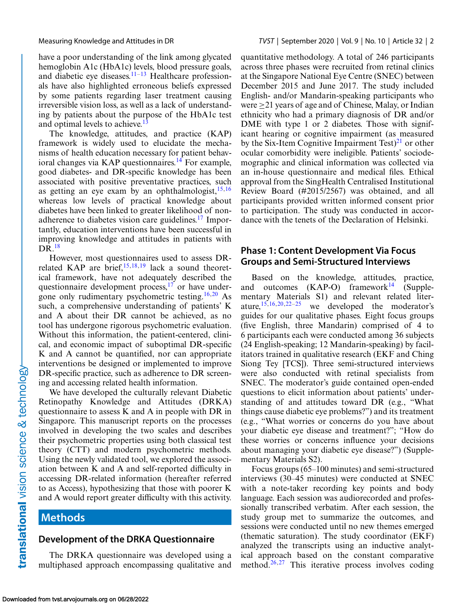have a poor understanding of the link among glycated hemoglobin A1c (HbA1c) levels, blood pressure goals, and diabetic eye diseases. $11-13$  Healthcare professionals have also highlighted erroneous beliefs expressed by some patients regarding laser treatment causing irreversible vision loss, as well as a lack of understanding by patients about the purpose of the HbA1c test and optimal levels to achieve.<sup>13</sup>

The knowledge, attitudes, and practice (KAP) framework is widely used to elucidate the mechanisms of health education necessary for patient behav-ioral changes via KAP questionnaires.<sup>[14](#page-13-0)</sup> For example, good diabetes- and DR-specific knowledge has been associated with positive preventative practices, such as getting an eye exam by an ophthalmologist,  $15,16$ whereas low levels of practical knowledge about diabetes have been linked to greater likelihood of non-adherence to diabetes vision care guidelines.<sup>[17](#page-13-0)</sup> Importantly, education interventions have been successful in improving knowledge and attitudes in patients with DR[.18](#page-13-0)

However, most questionnaires used to assess DRrelated KAP are brief,  $15,18,19$  lack a sound theoretical framework, have not adequately described the questionnaire development process, $^{17}$  or have under-gone only rudimentary psychometric testing.<sup>[16,20](#page-13-0)</sup> As such, a comprehensive understanding of patients' K and A about their DR cannot be achieved, as no tool has undergone rigorous psychometric evaluation. Without this information, the patient-centered, clinical, and economic impact of suboptimal DR-specific K and A cannot be quantified, nor can appropriate interventions be designed or implemented to improve DR-specific practice, such as adherence to DR screening and accessing related health information.

We have developed the culturally relevant Diabetic Retinopathy Knowledge and Attitudes (DRKA) questionnaire to assess K and A in people with DR in Singapore. This manuscript reports on the processes involved in developing the two scales and describes their psychometric properties using both classical test theory (CTT) and modern psychometric methods. Using the newly validated tool, we explored the association between K and A and self-reported difficulty in accessing DR-related information (hereafter referred to as Access), hypothesizing that those with poorer K and A would report greater difficulty with this activity.

# **Methods**

# **Development of the DRKA Questionnaire**

The DRKA questionnaire was developed using a multiphased approach encompassing qualitative and quantitative methodology. A total of 246 participants across three phases were recruited from retinal clinics at the Singapore National Eye Centre (SNEC) between December 2015 and June 2017. The study included English- and/or Mandarin-speaking participants who were ≥21 years of age and of Chinese, Malay, or Indian ethnicity who had a primary diagnosis of DR and/or DME with type 1 or 2 diabetes. Those with significant hearing or cognitive impairment (as measured by the Six-Item Cognitive Impairment Test) $^{21}$  or other ocular comorbidity were ineligible. Patients' sociodemographic and clinical information was collected via an in-house questionnaire and medical files. Ethical approval from the SingHealth Centralised Institutional Review Board (#2015/2567) was obtained, and all participants provided written informed consent prior to participation. The study was conducted in accordance with the tenets of the Declaration of Helsinki.

# **Phase 1: Content Development Via Focus Groups and Semi-Structured Interviews**

Based on the knowledge, attitudes, practice, and outcomes  $(KAP-O)$  framework<sup>14</sup> (Supplementary Materials S1) and relevant related literature,  $15,16,20,22-25$  we developed the moderator's guides for our qualitative phases. Eight focus groups (five English, three Mandarin) comprised of 4 to 6 participants each were conducted among 36 subjects (24 English-speaking; 12 Mandarin-speaking) by facilitators trained in qualitative research (EKF and Ching Siong Tey [TCS]). Three semi-structured interviews were also conducted with retinal specialists from SNEC. The moderator's guide contained open-ended questions to elicit information about patients' understanding of and attitudes toward DR (e.g., "What things cause diabetic eye problems?") and its treatment (e.g., "What worries or concerns do you have about your diabetic eye disease and treatment?"; "How do these worries or concerns influence your decisions about managing your diabetic eye disease?") (Supplementary Materials S2).

Focus groups (65–100 minutes) and semi-structured interviews (30–45 minutes) were conducted at SNEC with a note-taker recording key points and body language. Each session was audiorecorded and professionally transcribed verbatim. After each session, the study group met to summarize the outcomes, and sessions were conducted until no new themes emerged (thematic saturation). The study coordinator (EKF) analyzed the transcripts using an inductive analytical approach based on the constant comparative method. $26,27$  $26,27$  This iterative process involves coding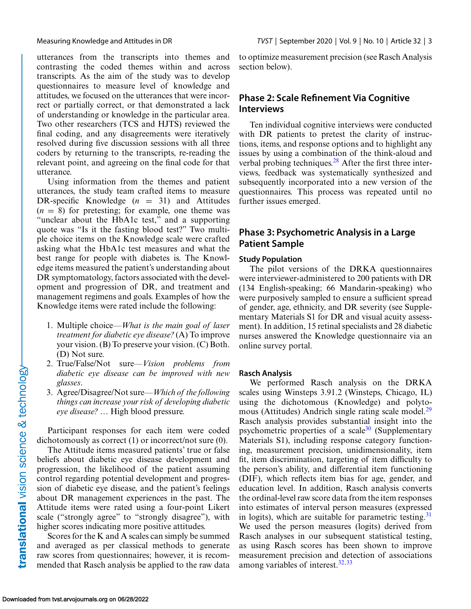utterances from the transcripts into themes and contrasting the coded themes within and across transcripts. As the aim of the study was to develop questionnaires to measure level of knowledge and attitudes, we focused on the utterances that were incorrect or partially correct, or that demonstrated a lack of understanding or knowledge in the particular area. Two other researchers (TCS and HJTS) reviewed the final coding, and any disagreements were iteratively resolved during five discussion sessions with all three coders by returning to the transcripts, re-reading the relevant point, and agreeing on the final code for that utterance.

Using information from the themes and patient utterances, the study team crafted items to measure DR-specific Knowledge  $(n = 31)$  and Attitudes  $(n = 8)$  for pretesting; for example, one theme was "unclear about the HbA1c test," and a supporting quote was "Is it the fasting blood test?" Two multiple choice items on the Knowledge scale were crafted asking what the HbA1c test measures and what the best range for people with diabetes is. The Knowledge items measured the patient's understanding about DR symptomatology, factors associated with the development and progression of DR, and treatment and management regimens and goals. Examples of how the Knowledge items were rated include the following:

- 1. Multiple choice—*What is the main goal of laser treatment for diabetic eye disease?* (A) To improve your vision. (B) To preserve your vision. (C) Both. (D) Not sure.
- 2. True/False/Not sure—*Vision problems from diabetic eye disease can be improved with new glasses*.
- 3. Agree/Disagree/Not sure—*Which of the following things can increase your risk of developing diabetic eye disease?* … High blood pressure.

Participant responses for each item were coded dichotomously as correct (1) or incorrect/not sure (0).

The Attitude items measured patients' true or false beliefs about diabetic eye disease development and progression, the likelihood of the patient assuming control regarding potential development and progression of diabetic eye disease, and the patient's feelings about DR management experiences in the past. The Attitude items were rated using a four-point Likert scale ("strongly agree" to "strongly disagree"), with higher scores indicating more positive attitudes.

Scores for the K and A scales can simply be summed and averaged as per classical methods to generate raw scores from questionnaires; however, it is recommended that Rasch analysis be applied to the raw data

to optimize measurement precision (see Rasch Analysis section below).

# **Phase 2: Scale Refinement Via Cognitive Interviews**

Ten individual cognitive interviews were conducted with DR patients to pretest the clarity of instructions, items, and response options and to highlight any issues by using a combination of the think-aloud and verbal probing techniques.<sup>28</sup> After the first three interviews, feedback was systematically synthesized and subsequently incorporated into a new version of the questionnaires. This process was repeated until no further issues emerged.

# **Phase 3: Psychometric Analysis in a Large Patient Sample**

### **Study Population**

The pilot versions of the DRKA questionnaires were interviewer-administered to 200 patients with DR (134 English-speaking; 66 Mandarin-speaking) who were purposively sampled to ensure a sufficient spread of gender, age, ethnicity, and DR severity (see Supplementary Materials S1 for DR and visual acuity assessment). In addition, 15 retinal specialists and 28 diabetic nurses answered the Knowledge questionnaire via an online survey portal.

#### **Rasch Analysis**

We performed Rasch analysis on the DRKA scales using Winsteps 3.91.2 (Winsteps, Chicago, IL) using the dichotomous (Knowledge) and polyto-mous (Attitudes) Andrich single rating scale model.<sup>[29](#page-14-0)</sup> Rasch analysis provides substantial insight into the psychometric properties of a scale<sup>30</sup> (Supplementary Materials S1), including response category functioning, measurement precision, unidimensionality, item fit, item discrimination, targeting of item difficulty to the person's ability, and differential item functioning (DIF), which reflects item bias for age, gender, and education level. In addition, Rasch analysis converts the ordinal-level raw score data from the item responses into estimates of interval person measures (expressed in logits), which are suitable for parametric testing.<sup>[31](#page-14-0)</sup> We used the person measures (logits) derived from Rasch analyses in our subsequent statistical testing, as using Rasch scores has been shown to improve measurement precision and detection of associations among variables of interest. $32,33$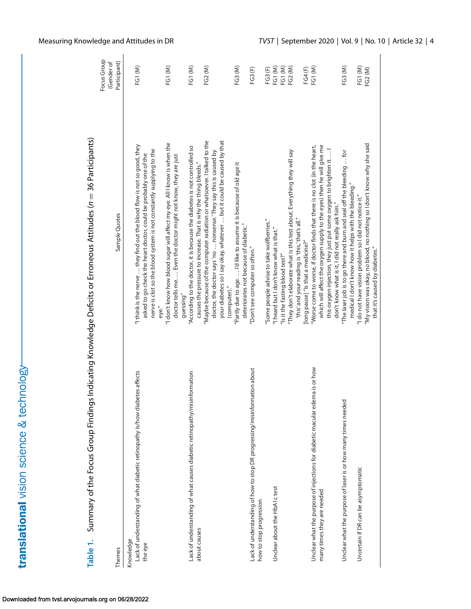translational vision science & technology-

|                                                                                                                                                                                                                                                                                                                                                | ֧֖֧֧֧֪֪֪֖֧֚֚֚֚֚֚֚֚֚֚֚֚֚֚֚֚֚֚֚֚֚֚֚֚֚֚֚֚֚֚֚֚֚֚֚֚֚֞֝֬֝֓֓֓֡֓֞֓֡֓֬֓֞֓֡֓֡֓֞֝֓֞֝֓֞֝֓֞֝ |
|------------------------------------------------------------------------------------------------------------------------------------------------------------------------------------------------------------------------------------------------------------------------------------------------------------------------------------------------|---------------------------------------------------------------------------------|
| ì<br>֦֧֦֝<br>$\mathbf$<br>$36 - 36$<br><b>KINN SIR</b><br>יינו לא האינו בין המאוד האינו את האינו האינו את האינו האינו האינו האינו האינו האינו האינו האינו האינו האינו הא<br>l<br>シューム ハーション<br>l<br>l<br>I<br>$\frac{1}{2}$<br><br>$\overline{\phantom{a}}$<br>)<br>j<br> <br> }<br> }<br>$\vdots$<br>j<br>l<br>יי ביובר ב<br>י<br>ג<br>l<br>i |                                                                                 |
|                                                                                                                                                                                                                                                                                                                                                |                                                                                 |

<span id="page-3-0"></span>

|                                                                                                     |                                                                                                                                                                                                                                       | Focus Group<br>(Gender of |
|-----------------------------------------------------------------------------------------------------|---------------------------------------------------------------------------------------------------------------------------------------------------------------------------------------------------------------------------------------|---------------------------|
| Themes                                                                                              | Sample Quotes                                                                                                                                                                                                                         | Participant)              |
| Lack of understanding of what diabetic retinopathy is/how diabetes affects<br>Knowledge<br>the eye  | "I think is the nerve  they find out the blood flow is not so good, they<br>nerve is clot so the blood system is not constantly supplying to the<br>asked to go check the heart doctor, could be probably one of the                  | FG1(M)                    |
|                                                                                                     | "I don't know how blood sugar will affect my eye. All I know is when the<br>doctor tells me.  Even the doctor might not know, they are just<br>guessing"<br>eye."                                                                     | FG1 (M)                   |
| Lack of understanding of what causes diabetic retinopathy/misinformation<br>about causes            | "According to the doctor, it is because the diabetes is not controlled so<br>causes the pressure to increase. That is why the thing bleeds."                                                                                          | FG1(M)                    |
|                                                                                                     | "Maybe because of the computer radiation or whatsoever. I talked to the<br>your diabetes so I say okay, whatever  but it could be caused by that<br>doctor, the doctor says 'no  nonsense.'They say this is caused by<br>(computer)." | FG2 (M)                   |
|                                                                                                     | "Partly due to age.  I'd like to assume it is because of old age it<br>deteriorates not because of diabetic."                                                                                                                         | FG3 (M)                   |
| Lack of understanding of how to stop DR progressing/misinformation about<br>how to stop progression | "Don't see computer so often."                                                                                                                                                                                                        | FG3 (F)                   |
|                                                                                                     | 'Some people advise to take wolfberries."                                                                                                                                                                                             | FG3 (F)                   |
| Unclear about the HbA1c test                                                                        | "I heard but I don't know what is that."                                                                                                                                                                                              | FG1 (M)                   |
|                                                                                                     | "Is it the fasting blood test?"                                                                                                                                                                                                       | FG1 (M)                   |
|                                                                                                     | "They don't elaborate what is this test about. Everything they will say<br>"this' and your reading is 'this,' that's all."                                                                                                            | FG2 (M)                   |
|                                                                                                     | [long pause] "Is that a medicine?"                                                                                                                                                                                                    | FG4 (F)                   |
| Unclear what the purpose of injections for diabetic macular edema is or how                         | "Worse come to worse, if doctor finds that there is no clot (in the heart,                                                                                                                                                            | FG1 (M)                   |
| many times they are needed                                                                          | which will affect the oxygen supply to the eyes) then he will give me<br>this oxygen injection, they just put some oxygen to brighten it I                                                                                            |                           |
|                                                                                                     | don't know what is it, I did not really ask him."                                                                                                                                                                                     |                           |
| Unclear what the purpose of laser is or how many times needed                                       | "The laser job is to go there and burn and seal off the bleeding  for                                                                                                                                                                 | FG3 (M)                   |
| Uncertain if DR can be asymptomatic                                                                 | medical I don't know how it helps with the bleeding."<br>"I do not have vision problem so I did not notice it."                                                                                                                       | FG1(M)                    |
|                                                                                                     |                                                                                                                                                                                                                                       | FG2 (M)                   |
|                                                                                                     | "My vision was okay, no blood, no nothing so I don't know why she said<br>that it's caused by diabetes."                                                                                                                              |                           |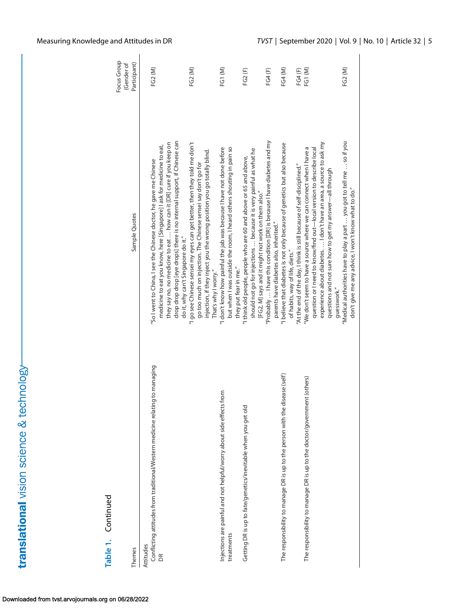| Table 1. Continued                                                                              |                                                                                                                                                                                                                                                                                               | Focus Group<br>Gender of |
|-------------------------------------------------------------------------------------------------|-----------------------------------------------------------------------------------------------------------------------------------------------------------------------------------------------------------------------------------------------------------------------------------------------|--------------------------|
| <b>Themes</b>                                                                                   | Sample Quotes                                                                                                                                                                                                                                                                                 | Participant)             |
| Conflicting attitudes from traditional/Western medicine relating to managing<br>Attitudes<br>BR | drop drop drop [eye drops] there is no internal support, if Chinese can<br>they say no, no medicine to eat  how can it [DR] cure if you keep on<br>medicine to eat you know, here [Singapore] I ask for medicine to eat,<br>'So I went to China, I see the Chinese doctor, he gave me Chinese | FG2 (M)                  |
|                                                                                                 | "I go see Chinese sensei my eyes can get better, then they told me don't<br>injection, if they inject you the wrong position you go totally blind.<br>go too much on injection. The Chinese sensei say don't go for<br>do it, why can't Singapore do it."<br>That's why I worry."             | FG2 (M)                  |
| Injections are painful and not helpful/worry about side effects from<br>treatments              | but when I was outside the room, I heard others shouting in pain so<br>"I don't know how painful the jab was because I have not done before<br>they put fear in me."                                                                                                                          | FG1 (M)                  |
| Getting DR is up to fate/genetics/inevitable when you get old                                   | "Probably  I have this condition [DR] is because I have diabetes and my<br>should not go for injections  because it is very painful as what he<br>"I think old people, people who are 60 and above or 65 and above,<br>[FG2, M] says and it might not work on them also."                     | FG4(F)<br>FG2 (F)        |
| The responsibility to manage DR is up to the person with the disease (self)                     | "I believe that diabetes is not only because of genetics but also because<br>"At the end of the day, I think is still because of self-disciplined."<br>parents have diabetes also, inherited."<br>of habits, way of life, diets."                                                             | FG4 (M)                  |
| (others)<br>The responsibility to manage DR is up to the doctor/government                      | experience about diabetes.  I don't have an area, a source to ask my<br>"We don't seem to have a source where we can connect when I have a<br>question or I need to know/find out-local version to describe local<br>questions and not sure how to get my answer—all through<br>quesswork."   | FG1 (M)<br>FG4 (F)       |
|                                                                                                 | "Medical authorities have to play a part  you got to tell me  so if you<br>don't give me any advice, I won't know what to do."                                                                                                                                                                | FG2 (M)                  |

 $\overline{\phantom{a}}$ 

translational vision science & technology-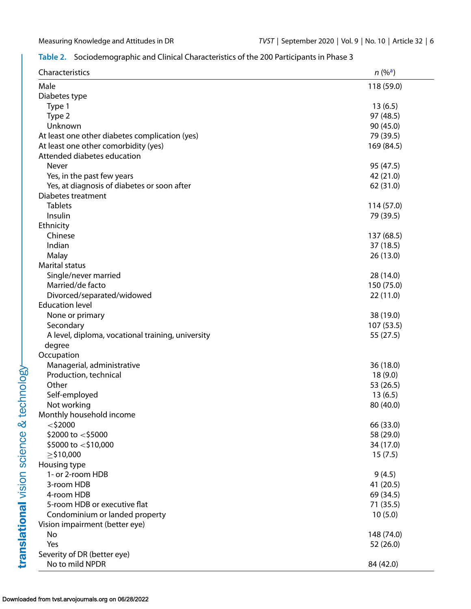# <span id="page-5-0"></span>**Table 2.** Sociodemographic and Clinical Characteristics of the 200 Participants in Phase 3

| Characteristics                                   | $n (%^a)$  |
|---------------------------------------------------|------------|
| Male                                              | 118 (59.0) |
| Diabetes type                                     |            |
| Type 1                                            | 13(6.5)    |
| Type 2                                            | 97 (48.5)  |
| Unknown                                           | 90 (45.0)  |
| At least one other diabetes complication (yes)    | 79 (39.5)  |
| At least one other comorbidity (yes)              | 169 (84.5) |
| Attended diabetes education                       |            |
| <b>Never</b>                                      | 95 (47.5)  |
| Yes, in the past few years                        | 42 (21.0)  |
| Yes, at diagnosis of diabetes or soon after       | 62 (31.0)  |
| Diabetes treatment                                |            |
| <b>Tablets</b>                                    | 114 (57.0) |
| Insulin                                           | 79 (39.5)  |
| Ethnicity                                         |            |
| Chinese                                           | 137 (68.5) |
| Indian                                            | 37(18.5)   |
| Malay                                             | 26(13.0)   |
| <b>Marital status</b>                             |            |
| Single/never married                              | 28 (14.0)  |
| Married/de facto                                  | 150 (75.0) |
| Divorced/separated/widowed                        | 22(11.0)   |
| <b>Education level</b>                            |            |
| None or primary                                   | 38 (19.0)  |
| Secondary                                         | 107(53.5)  |
| A level, diploma, vocational training, university | 55 (27.5)  |
| degree                                            |            |
| Occupation                                        |            |
| Managerial, administrative                        | 36 (18.0)  |
| Production, technical                             | 18(9.0)    |
| Other                                             | 53 (26.5)  |
| Self-employed                                     | 13(6.5)    |
| Not working                                       | 80 (40.0)  |
| Monthly household income                          |            |
| $<$ \$2000                                        | 66 (33.0)  |
| \$2000 to $<$ \$5000                              | 58 (29.0)  |
| \$5000 to $<$ \$10,000                            | 34 (17.0)  |
| $\geq$ \$10,000                                   | 15(7.5)    |
| Housing type                                      |            |
| 1- or 2-room HDB                                  | 9(4.5)     |
| 3-room HDB                                        | 41 (20.5)  |
| 4-room HDB                                        | 69 (34.5)  |
| 5-room HDB or executive flat                      | 71 (35.5)  |
| Condominium or landed property                    | 10(5.0)    |
| Vision impairment (better eye)                    |            |
| No                                                | 148 (74.0) |
| Yes                                               | 52 (26.0)  |
| Severity of DR (better eye)                       |            |
| No to mild NPDR                                   | 84 (42.0)  |

#### Downloaded from tvst.arvojournals.org on 06/28/2022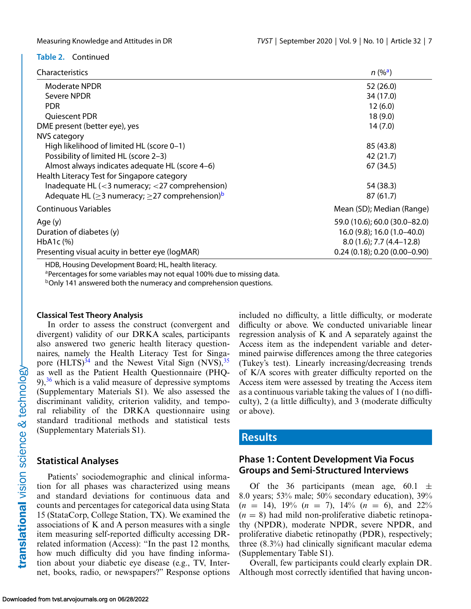### <span id="page-6-0"></span>**Table 2.** Continued

|  | Characteristics |  |
|--|-----------------|--|
|  |                 |  |

| Characteristics                                                                        | $n (%^a)$                         |
|----------------------------------------------------------------------------------------|-----------------------------------|
| <b>Moderate NPDR</b>                                                                   | 52 (26.0)                         |
| Severe NPDR                                                                            | 34 (17.0)                         |
| <b>PDR</b>                                                                             | 12(6.0)                           |
| Quiescent PDR                                                                          | 18(9.0)                           |
| DME present (better eye), yes                                                          | 14(7.0)                           |
| NVS category                                                                           |                                   |
| High likelihood of limited HL (score 0-1)                                              | 85 (43.8)                         |
| Possibility of limited HL (score 2-3)                                                  | 42 (21.7)                         |
| Almost always indicates adequate HL (score 4-6)                                        | 67 (34.5)                         |
| Health Literacy Test for Singapore category                                            |                                   |
| Inadequate HL $\left( < \frac{3}{2} \right)$ numeracy; $< \frac{27}{2}$ comprehension) | 54 (38.3)                         |
| Adequate HL ( $\geq$ 3 numeracy; $\geq$ 27 comprehension) <sup>b</sup>                 | 87(61.7)                          |
| Continuous Variables                                                                   | Mean (SD); Median (Range)         |
| Age (y)                                                                                | 59.0 (10.6); 60.0 (30.0–82.0)     |
| Duration of diabetes (y)                                                               | 16.0 (9.8); 16.0 (1.0-40.0)       |
| HbA <sub>1</sub> c $(%)$                                                               | $8.0(1.6)$ ; 7.7 $(4.4-12.8)$     |
| Presenting visual acuity in better eye (logMAR)                                        | $0.24(0.18)$ ; 0.20 $(0.00-0.90)$ |

HDB, Housing Development Board; HL, health literacy.

aPercentages for some variables may not equal 100% due to missing data.

bOnly 141 answered both the numeracy and comprehension questions.

### **Classical Test Theory Analysis**

In order to assess the construct (convergent and divergent) validity of our DRKA scales, participants also answered two generic health literacy questionnaires, namely the Health Literacy Test for Singapore  $(HLTS)^{34}$  and the Newest Vital Sign (NVS),  $35$ as well as the Patient Health Questionnaire (PHQ- $9$ ,<sup>[36](#page-14-0)</sup> which is a valid measure of depressive symptoms (Supplementary Materials S1). We also assessed the discriminant validity, criterion validity, and temporal reliability of the DRKA questionnaire using standard traditional methods and statistical tests (Supplementary Materials S1).

## **Statistical Analyses**

Patients' sociodemographic and clinical information for all phases was characterized using means and standard deviations for continuous data and counts and percentages for categorical data using Stata 15 (StataCorp, College Station, TX). We examined the associations of K and A person measures with a single item measuring self-reported difficulty accessing DRrelated information (Access): "In the past 12 months, how much difficulty did you have finding information about your diabetic eye disease (e.g., TV, Internet, books, radio, or newspapers?" Response options included no difficulty, a little difficulty, or moderate difficulty or above. We conducted univariable linear regression analysis of K and A separately against the Access item as the independent variable and determined pairwise differences among the three categories (Tukey's test). Linearly increasing/decreasing trends of K/A scores with greater difficulty reported on the Access item were assessed by treating the Access item as a continuous variable taking the values of 1 (no difficulty), 2 (a little difficulty), and 3 (moderate difficulty or above).

# **Results**

# **Phase 1: Content Development Via Focus Groups and Semi-Structured Interviews**

Of the 36 participants (mean age, 60.1  $\pm$ 8.0 years; 53% male; 50% secondary education), 39%  $(n = 14)$ , 19%  $(n = 7)$ , 14%  $(n = 6)$ , and 22%  $(n = 8)$  had mild non-proliferative diabetic retinopathy (NPDR), moderate NPDR, severe NPDR, and proliferative diabetic retinopathy (PDR), respectively; three (8.3%) had clinically significant macular edema (Supplementary Table S1).

Overall, few participants could clearly explain DR. Although most correctly identified that having uncon-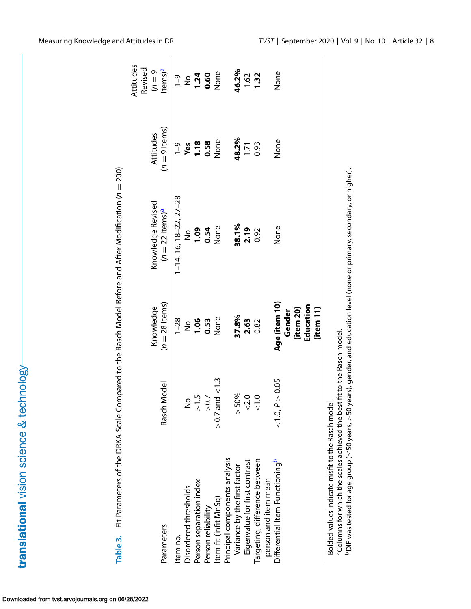|                                                                                                                                                |                         |                |                               |               | Attitudes<br>Revised |
|------------------------------------------------------------------------------------------------------------------------------------------------|-------------------------|----------------|-------------------------------|---------------|----------------------|
|                                                                                                                                                |                         | Knowledge      | Knowledge Revised             | Attitudes     | $6=0$                |
| Parameters                                                                                                                                     | Model<br>Rasch          | $(n=28$ ltems) | $(n = 22$ items) <sup>a</sup> | $(n=9$ ltems) | Items) <sup>a</sup>  |
| Item no.                                                                                                                                       |                         | $1 - 28$       | $1-14$ , 16, 18-22, 27-28     | $\frac{9}{1}$ | $\frac{9}{1}$        |
| Disordered thresholds                                                                                                                          | ş                       | $\frac{1}{2}$  | $\frac{1}{2}$                 | Yes           | $\frac{1}{2}$        |
| Person separation index                                                                                                                        | r.<br>7                 | 1.06           | <b>00.1</b>                   | 1.18          | 1.24                 |
| Person reliability                                                                                                                             | > 0.7                   | 0.53           | 0.54                          | 0.58          | 0.60                 |
| Item fit (infit MnSq)                                                                                                                          | $> 0.7$ and $< 1.3$     | None           | None                          | None          | None                 |
| Principal components analysis                                                                                                                  |                         |                |                               |               |                      |
| Variance by the first factor                                                                                                                   | > 50%                   | 37.8%          | 38.1%                         | 48.2%         | 46.2%                |
| Eigenvalue for first contrast                                                                                                                  | < 2.0                   | 2.63           | 2.19                          | 1.71          | 1.62                 |
| Targeting, difference between                                                                                                                  | O.<br>$\overline{\vee}$ | 0.82           | 0.92                          | 0.93          | 1.32                 |
| person and item mean                                                                                                                           |                         |                |                               |               |                      |
| Differential Item Functioning <sup>b</sup>                                                                                                     | $<$ 1.0, P $>$ 0.05     | Age (item 10)  | None                          | None          | None                 |
|                                                                                                                                                |                         | Gender         |                               |               |                      |
|                                                                                                                                                |                         | (item 20)      |                               |               |                      |
|                                                                                                                                                |                         | Education      |                               |               |                      |
|                                                                                                                                                |                         | (item 11)      |                               |               |                      |
| <sup>a</sup> Columns for which the scales achieved the best fit to the Rasch model.<br>Bolded values indicate misfit to the Rasch model        |                         |                |                               |               |                      |
| $^{\rm b}$ DIF was tested for age group ( $\leq$ 50 years, $>$ 50 years), gender, and education level (none or primary, secondary, or higher). |                         |                |                               |               |                      |

<span id="page-7-0"></span>

Downloaded from tvst.arvojournals.org on 06/28/2022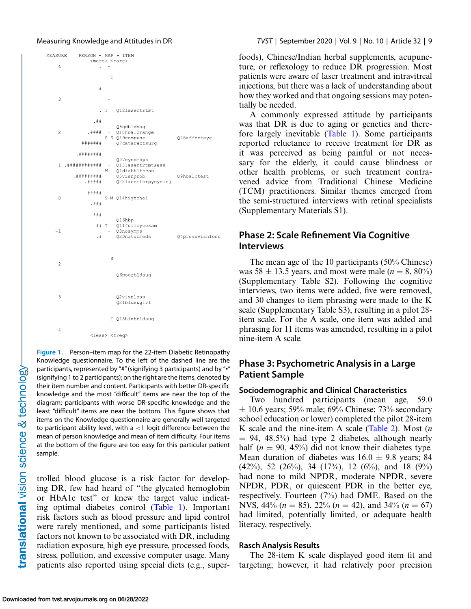<span id="page-8-0"></span>

**Figure 1.** Person–item map for the 22-item Diabetic Retinopathy Knowledge questionnaire. To the left of the dashed line are the participants, represented by "#"(signifying 3 participants) and by "•" (signifying 1 to 2 participants); on the right are the items, denoted by their item number and content. Participants with better DR-specific knowledge and the most "difficult" items are near the top of the diagram; participants with worse DR-specific knowledge and the least "difficult" items are near the bottom. This figure shows that items on the Knowledge questionnaire are generally well targeted to participant ability level, with  $a < 1$  logit difference between the mean of person knowledge and mean of item difficulty. Four items at the bottom of the figure are too easy for this particular patient sample.

trolled blood glucose is a risk factor for developing DR, few had heard of "the glycated hemoglobin or HbA1c test" or knew the target value indicating optimal diabetes control [\(Table 1\)](#page-3-0). Important risk factors such as blood pressure and lipid control were rarely mentioned, and some participants listed factors not known to be associated with DR, including radiation exposure, high eye pressure, processed foods, stress, pollution, and excessive computer usage. Many patients also reported using special diets (e.g., superfoods), Chinese/Indian herbal supplements, acupuncture, or reflexology to reduce DR progression. Most patients were aware of laser treatment and intravitreal injections, but there was a lack of understanding about how they worked and that ongoing sessions may potentially be needed.

A commonly expressed attitude by participants was that DR is due to aging or genetics and therefore largely inevitable [\(Table 1\)](#page-3-0). Some participants reported reluctance to receive treatment for DR as it was perceived as being painful or not necessary for the elderly, it could cause blindness or other health problems, or such treatment contravened advice from Traditional Chinese Medicine (TCM) practitioners. Similar themes emerged from the semi-structured interviews with retinal specialists (Supplementary Materials S1).

# **Phase 2: Scale Refinement Via Cognitive Interviews**

The mean age of the 10 participants (50% Chinese) was  $58 \pm 13.5$  years, and most were male ( $n = 8, 80\%$ ) (Supplementary Table S2). Following the cognitive interviews, two items were added, five were removed, and 30 changes to item phrasing were made to the K scale (Supplementary Table S3), resulting in a pilot 28 item scale. For the A scale, one item was added and phrasing for 11 items was amended, resulting in a pilot nine-item A scale.

# **Phase 3: Psychometric Analysis in a Large Patient Sample**

### **Sociodemographic and Clinical Characteristics**

Two hundred participants (mean age, 59.0  $\pm$  10.6 years; 59% male; 69% Chinese; 73% secondary school education or lower) completed the pilot 28-item K scale and the nine-item A scale [\(Table 2\)](#page-5-0). Most (*n*  $= 94, 48.5\%$ ) had type 2 diabetes, although nearly half ( $n = 90, 45\%$ ) did not know their diabetes type. Mean duration of diabetes was  $16.0 \pm 9.8$  years; 84  $(42\%)$ , 52  $(26\%)$ , 34  $(17\%)$ , 12  $(6\%)$ , and 18  $(9\%)$ had none to mild NPDR, moderate NPDR, severe NPDR, PDR, or quiescent PDR in the better eye, respectively. Fourteen (7%) had DME. Based on the NVS, 44% (*n* = 85), 22% (*n* = 42), and 34% (*n* = 67) had limited, potentially limited, or adequate health literacy, respectively.

#### **Rasch Analysis Results**

The 28-item K scale displayed good item fit and targeting; however, it had relatively poor precision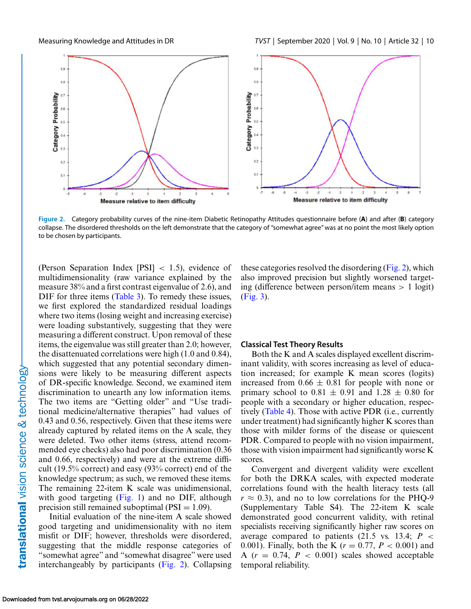

**Figure 2.** Category probability curves of the nine-item Diabetic Retinopathy Attitudes questionnaire before (**A**) and after (**B**) category collapse. The disordered thresholds on the left demonstrate that the category of "somewhat agree" was at no point the most likely option to be chosen by participants.

(Person Separation Index [PSI] < 1.5), evidence of multidimensionality (raw variance explained by the measure 38% and a first contrast eigenvalue of 2.6), and DIF for three items [\(Table 3\)](#page-7-0). To remedy these issues, we first explored the standardized residual loadings where two items (losing weight and increasing exercise) were loading substantively, suggesting that they were measuring a different construct. Upon removal of these items, the eigenvalue was still greater than 2.0; however, the disattenuated correlations were high (1.0 and 0.84), which suggested that any potential secondary dimensions were likely to be measuring different aspects of DR-specific knowledge. Second, we examined item discrimination to unearth any low information items. The two items are "Getting older" and "Use traditional medicine/alternative therapies" had values of 0.43 and 0.56, respectively. Given that these items were already captured by related items on the A scale, they were deleted. Two other items (stress, attend recommended eye checks) also had poor discrimination (0.36 and 0.66, respectively) and were at the extreme difficult (19.5% correct) and easy (93% correct) end of the knowledge spectrum; as such, we removed these items. The remaining 22-item K scale was unidimensional, with good targeting [\(Fig. 1\)](#page-8-0) and no DIF, although precision still remained suboptimal ( $PSI = 1.09$ ).

Initial evaluation of the nine-item A scale showed good targeting and unidimensionality with no item misfit or DIF; however, thresholds were disordered, suggesting that the middle response categories of "somewhat agree" and "somewhat disagree" were used interchangeably by participants (Fig. 2). Collapsing these categories resolved the disordering (Fig. 2), which also improved precision but slightly worsened targeting (difference between person/item means > 1 logit) [\(Fig. 3\)](#page-10-0).

#### **Classical Test Theory Results**

Both the K and A scales displayed excellent discriminant validity, with scores increasing as level of education increased; for example K mean scores (logits) increased from  $0.66 \pm 0.81$  for people with none or primary school to  $0.81 \pm 0.91$  and  $1.28 \pm 0.80$  for people with a secondary or higher education, respectively [\(Table 4\)](#page-11-0). Those with active PDR (i.e., currently under treatment) had significantly higher K scores than those with milder forms of the disease or quiescent PDR. Compared to people with no vision impairment, those with vision impairment had significantly worse K scores.

Convergent and divergent validity were excellent for both the DRKA scales, with expected moderate correlations found with the health literacy tests (all  $r \approx 0.3$ ), and no to low correlations for the PHQ-9 (Supplementary Table S4). The 22-item K scale demonstrated good concurrent validity, with retinal specialists receiving significantly higher raw scores on average compared to patients  $(21.5 \text{ vs. } 13.4; P \leq$ 0.001). Finally, both the K (*r* = 0.77, *P* < 0.001) and A  $(r = 0.74, P < 0.001)$  scales showed acceptable temporal reliability.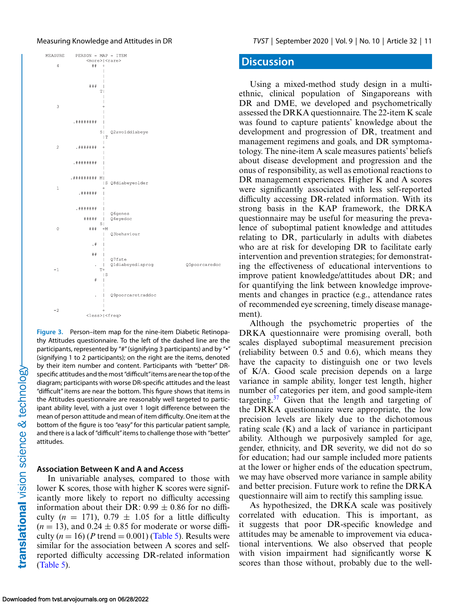<span id="page-10-0"></span>

**Figure 3.** Person–item map for the nine-item Diabetic Retinopathy Attitudes questionnaire. To the left of the dashed line are the participants, represented by "#"(signifying 3 participants) and by "•" (signifying 1 to 2 participants); on the right are the items, denoted by their item number and content. Participants with "better" DRspecific attitudes and the most "difficult"items are near the top of the diagram; participants with worse DR-specific attitudes and the least "difficult" items are near the bottom. This figure shows that items in the Attitudes questionnaire are reasonably well targeted to participant ability level, with a just over 1 logit difference between the mean of person attitude and mean of item difficulty. One item at the bottom of the figure is too "easy" for this particular patient sample, and there is a lack of "difficult" items to challenge those with "better" attitudes.

### **Association Between K and A and Access**

In univariable analyses, compared to those with lower K scores, those with higher K scores were significantly more likely to report no difficulty accessing information about their DR:  $0.99 \pm 0.86$  for no difficulty  $(n = 171)$ ,  $0.79 \pm 1.05$  for a little difficulty  $(n = 13)$ , and  $0.24 \pm 0.85$  for moderate or worse difficulty  $(n = 16)$  (*P* trend = 0.001) [\(Table 5\)](#page-11-0). Results were similar for the association between A scores and selfreported difficulty accessing DR-related information [\(Table 5\)](#page-11-0).

## **Discussion**

Using a mixed-method study design in a multiethnic, clinical population of Singaporeans with DR and DME, we developed and psychometrically assessed the DRKA questionnaire. The 22-item K scale was found to capture patients' knowledge about the development and progression of DR, treatment and management regimens and goals, and DR symptomatology. The nine-item A scale measures patients' beliefs about disease development and progression and the onus of responsibility, as well as emotional reactions to DR management experiences. Higher K and A scores were significantly associated with less self-reported difficulty accessing DR-related information. With its strong basis in the KAP framework, the DRKA questionnaire may be useful for measuring the prevalence of suboptimal patient knowledge and attitudes relating to DR, particularly in adults with diabetes who are at risk for developing DR to facilitate early intervention and prevention strategies; for demonstrating the effectiveness of educational interventions to improve patient knowledge/attitudes about DR; and for quantifying the link between knowledge improvements and changes in practice (e.g., attendance rates of recommended eye screening, timely disease management).

Although the psychometric properties of the DRKA questionnaire were promising overall, both scales displayed suboptimal measurement precision (reliability between 0.5 and 0.6), which means they have the capacity to distinguish one or two levels of K/A. Good scale precision depends on a large variance in sample ability, longer test length, higher number of categories per item, and good sample-item targeting.<sup>37</sup> Given that the length and targeting of the DRKA questionnaire were appropriate, the low precision levels are likely due to the dichotomous rating scale (K) and a lack of variance in participant ability. Although we purposively sampled for age, gender, ethnicity, and DR severity, we did not do so for education; had our sample included more patients at the lower or higher ends of the education spectrum, we may have observed more variance in sample ability and better precision. Future work to refine the DRKA questionnaire will aim to rectify this sampling issue.

As hypothesized, the DRKA scale was positively correlated with education. This is important, as it suggests that poor DR-specific knowledge and attitudes may be amenable to improvement via educational interventions. We also observed that people with vision impairment had significantly worse K scores than those without, probably due to the well-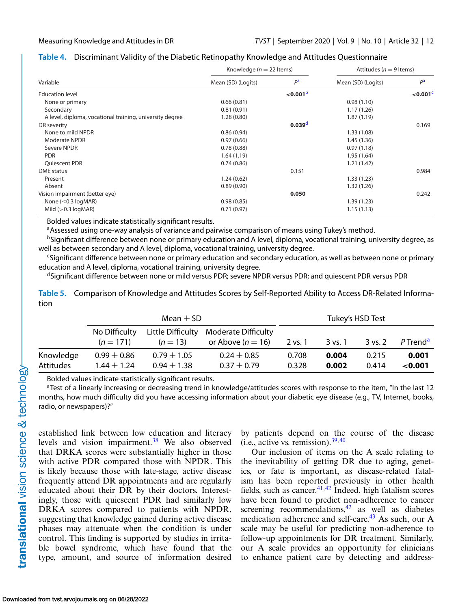# <span id="page-11-0"></span>**Table 4.** Discriminant Validity of the Diabetic Retinopathy Knowledge and Attitudes Questionnaire

|                                                          | Knowledge ( $n = 22$ Items) |                    | Attitudes ( $n = 9$ Items) |                         |
|----------------------------------------------------------|-----------------------------|--------------------|----------------------------|-------------------------|
| Variable                                                 | Mean (SD) (Logits)          | P <sup>a</sup>     | Mean (SD) (Logits)         | $P^{\mathbf{a}}$        |
| <b>Education level</b>                                   |                             | $<$ 0.001 $b$      |                            | $<$ 0.001 $\textdegree$ |
| None or primary                                          | 0.66(0.81)                  |                    | 0.98(1.10)                 |                         |
| Secondary                                                | 0.81(0.91)                  |                    | 1.17(1.26)                 |                         |
| A level, diploma, vocational training, university degree | 1.28(0.80)                  |                    | 1.87(1.19)                 |                         |
| DR severity                                              |                             | 0.039 <sup>d</sup> |                            | 0.169                   |
| None to mild NPDR                                        | 0.86(0.94)                  |                    | 1.33(1.08)                 |                         |
| <b>Moderate NPDR</b>                                     | 0.97(0.66)                  |                    | 1.45(1.36)                 |                         |
| Severe NPDR                                              | 0.78(0.88)                  |                    | 0.97(1.18)                 |                         |
| <b>PDR</b>                                               | 1.64(1.19)                  |                    | 1.95(1.64)                 |                         |
| Quiescent PDR                                            | 0.74(0.86)                  |                    | 1.21(1.42)                 |                         |
| DME status                                               |                             | 0.151              |                            | 0.984                   |
| Present                                                  | 1.24(0.62)                  |                    | 1.33(1.23)                 |                         |
| Absent                                                   | 0.89(0.90)                  |                    | 1.32(1.26)                 |                         |
| Vision impairment (better eye)                           |                             | 0.050              |                            | 0.242                   |
| None ( $\leq$ 0.3 logMAR)                                | 0.98(0.85)                  |                    | 1.39(1.23)                 |                         |
| Mild $(>0.3 \text{ log} \text{MAR})$                     | 0.71(0.97)                  |                    | 1.15(1.13)                 |                         |

Bolded values indicate statistically significant results.

<sup>a</sup> Assessed using one-way analysis of variance and pairwise comparison of means using Tukey's method.

<sup>b</sup>Significant difference between none or primary education and A level, diploma, vocational training, university degree, as well as between secondary and A level, diploma, vocational training, university degree.

<sup>c</sup>Significant difference between none or primary education and secondary education, as well as between none or primary education and A level, diploma, vocational training, university degree.

<sup>d</sup>Significant difference between none or mild versus PDR; severe NPDR versus PDR; and quiescent PDR versus PDR

**Table 5.** Comparison of Knowledge and Attitudes Scores by Self-Reported Ability to Access DR-Related Information

|                  | Mean $\pm$ SD   |                   |                            | Tukey's HSD Test |         |             |                      |
|------------------|-----------------|-------------------|----------------------------|------------------|---------|-------------|----------------------|
|                  | No Difficulty   | Little Difficulty | <b>Moderate Difficulty</b> |                  |         |             |                      |
|                  | $(n = 171)$     | $(n = 13)$        | or Above ( $n = 16$ )      | 2 vs. 1          | 3 vs. 1 | $3$ vs. $2$ | P Trend <sup>a</sup> |
| Knowledge        | $0.99\pm0.86$   | $0.79 \pm 1.05$   | $0.24 \pm 0.85$            | 0.708            | 0.004   | 0.215       | 0.001                |
| <b>Attitudes</b> | $1.44 \pm 1.24$ | $0.94 \pm 1.38$   | $0.37 \pm 0.79$            | 0.328            | 0.002   | 0.414       | < 0.001              |

Bolded values indicate statistically significant results.

<sup>a</sup>Test of a linearly increasing or decreasing trend in knowledge/attitudes scores with response to the item, "In the last 12 months, how much difficulty did you have accessing information about your diabetic eye disease (e.g., TV, Internet, books, radio, or newspapers)?"

established link between low education and literacy levels and vision impairment.<sup>38</sup> We also observed that DRKA scores were substantially higher in those with active PDR compared those with NPDR. This is likely because those with late-stage, active disease frequently attend DR appointments and are regularly educated about their DR by their doctors. Interestingly, those with quiescent PDR had similarly low DRKA scores compared to patients with NPDR, suggesting that knowledge gained during active disease phases may attenuate when the condition is under control. This finding is supported by studies in irritable bowel syndrome, which have found that the type, amount, and source of information desired

by patients depend on the course of the disease (i.e., active vs. remission). $39,40$ 

Our inclusion of items on the A scale relating to the inevitability of getting DR due to aging, genetics, or fate is important, as disease-related fatalism has been reported previously in other health fields, such as cancer. $41,42$  Indeed, high fatalism scores have been found to predict non-adherence to cancer screening recommendations, $42$  as well as diabetes medication adherence and self-care.<sup>43</sup> As such, our A scale may be useful for predicting non-adherence to follow-up appointments for DR treatment. Similarly, our A scale provides an opportunity for clinicians to enhance patient care by detecting and address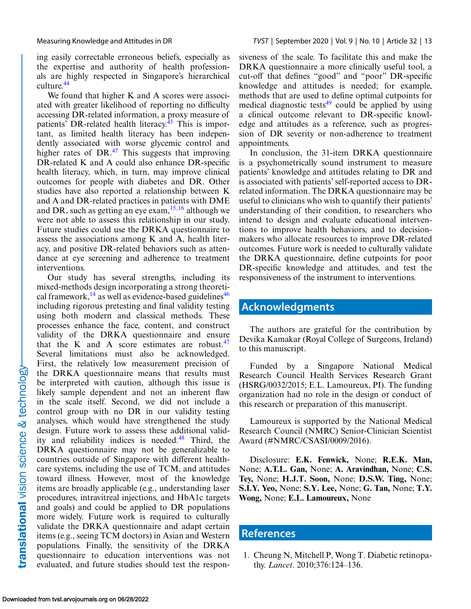<span id="page-12-0"></span>ing easily correctable erroneous beliefs, especially as the expertise and authority of health professionals are highly respected in Singapore's hierarchical culture.<sup>[44](#page-14-0)</sup>

We found that higher K and A scores were associated with greater likelihood of reporting no difficulty accessing DR-related information, a proxy measure of patients' DR-related health literacy.<sup>[45](#page-14-0)</sup> This is important, as limited health literacy has been independently associated with worse glycemic control and higher rates of  $DR<sup>47</sup>$ . This suggests that improving DR-related K and A could also enhance DR-specific health literacy, which, in turn, may improve clinical outcomes for people with diabetes and DR. Other studies have also reported a relationship between K and A and DR-related practices in patients with DME and DR, such as getting an eye exam,  $15,16$  although we were not able to assess this relationship in our study. Future studies could use the DRKA questionnaire to assess the associations among K and A, health literacy, and positive DR-related behaviors such as attendance at eye screening and adherence to treatment interventions.

Our study has several strengths, including its mixed-methods design incorporating a strong theoretical framework, $^{14}$  $^{14}$  $^{14}$  as well as evidence-based guidelines<sup>[46](#page-14-0)</sup> including rigorous pretesting and final validity testing using both modern and classical methods. These processes enhance the face, content, and construct validity of the DRKA questionnaire and ensure that the K and A score estimates are robust. $47$ Several limitations must also be acknowledged. First, the relatively low measurement precision of the DRKA questionnaire means that results must be interpreted with caution, although this issue is likely sample dependent and not an inherent flaw in the scale itself. Second, we did not include a control group with no DR in our validity testing analyses, which would have strengthened the study design. Future work to assess these additional validity and reliability indices is needed.<sup>48</sup> Third, the DRKA questionnaire may not be generalizable to countries outside of Singapore with different healthcare systems, including the use of TCM, and attitudes toward illness. However, most of the knowledge items are broadly applicable (e.g., understanding laser procedures, intravitreal injections, and HbA1c targets and goals) and could be applied to DR populations more widely. Future work is required to culturally validate the DRKA questionnaire and adapt certain items (e.g., seeing TCM doctors) in Asian and Western populations. Finally, the sensitivity of the DRKA questionnaire to education interventions was not evaluated, and future studies should test the responsiveness of the scale. To facilitate this and make the DRKA questionnaire a more clinically useful tool, a cut-off that defines "good" and "poor" DR-specific knowledge and attitudes is needed; for example, methods that are used to define optimal cutpoints for medical diagnostic tests $49$  could be applied by using a clinical outcome relevant to DR-specific knowledge and attitudes as a reference, such as progression of DR severity or non-adherence to treatment appointments.

In conclusion, the 31-item DRKA questionnaire is a psychometrically sound instrument to measure patients' knowledge and attitudes relating to DR and is associated with patients' self-reported access to DRrelated information. The DRKA questionnaire may be useful to clinicians who wish to quantify their patients' understanding of their condition, to researchers who intend to design and evaluate educational interventions to improve health behaviors, and to decisionmakers who allocate resources to improve DR-related outcomes. Future work is needed to culturally validate the DRKA questionnaire, define cutpoints for poor DR-specific knowledge and attitudes, and test the responsiveness of the instrument to interventions.

# **Acknowledgments**

The authors are grateful for the contribution by Devika Kamakar (Royal College of Surgeons, Ireland) to this manuscript.

Funded by a Singapore National Medical Research Council Health Services Research Grant (HSRG/0032/2015; E.L. Lamoureux, PI). The funding organization had no role in the design or conduct of this research or preparation of this manuscript.

Lamoureux is supported by the National Medical Research Council (NMRC) Senior-Clinician Scientist Award (#NMRC/CSASI/0009/2016).

Disclosure: **E.K. Fenwick,** None; **R.E.K. Man,** None; **A.T.L. Gan,** None; **A. Aravindhan,** None; **C.S. Tey,** None; **H.J.T. Soon,** None; **D.S.W. Ting,** None; **S.I.Y. Yeo,** None; **S.Y. Lee,** None; **G. Tan,** None; **T.Y. Wong,** None; **E.L. Lamoureux,** None

# **References**

1. Cheung N, Mitchell P, Wong T. Diabetic retinopathy. *Lancet*. 2010;376:124–136.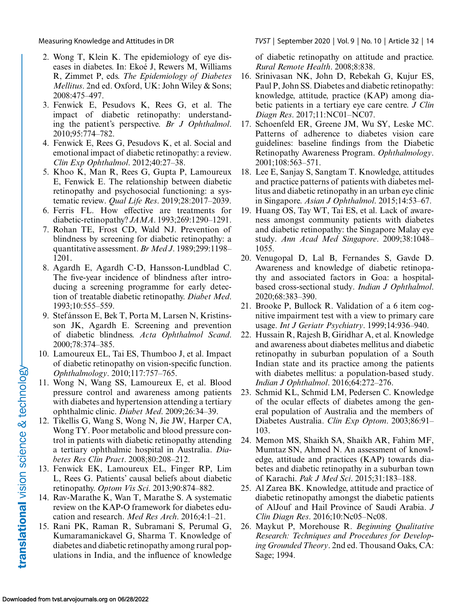- 2. Wong T, Klein K. The epidemiology of eye diseases in diabetes. In: Ekoé J, Rewers M, Williams R, Zimmet P, eds. *The Epidemiology of Diabetes Mellitus*. 2nd ed. Oxford, UK: John Wiley & Sons; 2008:475–497.
- 3. Fenwick E, Pesudovs K, Rees G, et al. The impact of diabetic retinopathy: understanding the patient's perspective. *Br J Ophthalmol*. 2010;95:774–782.
- 4. Fenwick E, Rees G, Pesudovs K, et al. Social and emotional impact of diabetic retinopathy: a review. *Clin Exp Ophthalmol*. 2012;40:27–38.
- 5. Khoo K, Man R, Rees G, Gupta P, Lamoureux E, Fenwick E. The relationship between diabetic retinopathy and psychosocial functioning: a systematic review. *Qual Life Res*. 2019;28:2017–2039.
- 6. Ferris FL. How effective are treatments for diabetic-retinopathy? *JAMA*. 1993;269:1290–1291.
- 7. Rohan TE, Frost CD, Wald NJ. Prevention of blindness by screening for diabetic retinopathy: a quantitative assessment. *Br Med J*. 1989;299:1198– 1201.
- 8. Agardh E, Agardh C-D, Hansson-Lundblad C. The five-year incidence of blindness after introducing a screening programme for early detection of treatable diabetic retinopathy. *Diabet Med*. 1993;10:555–559.
- 9. Stefánsson E, Bek T, Porta M, Larsen N, Kristinsson JK, Agardh E. Screening and prevention of diabetic blindness. *Acta Ophthalmol Scand*. 2000;78:374–385.
- 10. Lamoureux EL, Tai ES, Thumboo J, et al. Impact of diabetic retinopathy on vision-specific function. *Ophthalmology*. 2010;117:757–765.
- 11. Wong N, Wang SS, Lamoureux E, et al. Blood pressure control and awareness among patients with diabetes and hypertension attending a tertiary ophthalmic clinic. *Diabet Med*. 2009;26:34–39.
- 12. Tikellis G, Wang S, Wong N, Jie JW, Harper CA, Wong TY. Poor metabolic and blood pressure control in patients with diabetic retinopathy attending a tertiary ophthalmic hospital in Australia. *Diabetes Res Clin Pract*. 2008;80:208–212.
- 13. Fenwick EK, Lamoureux EL, Finger RP, Lim L, Rees G. Patients' causal beliefs about diabetic retinopathy. *Optom Vis Sci*. 2013;90:874–882.
- 14. Rav-Marathe K, Wan T, Marathe S. A systematic review on the KAP-O framework for diabetes education and research. *Med Res Arch*. 2016;4:1–21.
- 15. Rani PK, Raman R, Subramani S, Perumal G, Kumaramanickavel G, Sharma T. Knowledge of diabetes and diabetic retinopathy among rural populations in India, and the influence of knowledge

<span id="page-13-0"></span>Measuring Knowledge and Attitudes in DR *TVST* | September 2020 | Vol. 9 | No. 10 | Article 32 | 14

of diabetic retinopathy on attitude and practice. *Rural Remote Health*. 2008;8:838.

- 16. Srinivasan NK, John D, Rebekah G, Kujur ES, Paul P, John SS. Diabetes and diabetic retinopathy: knowledge, attitude, practice (KAP) among diabetic patients in a tertiary eye care centre. *J Clin Diagn Res*. 2017;11:NC01–NC07.
- 17. Schoenfeld ER, Greene JM, Wu SY, Leske MC. Patterns of adherence to diabetes vision care guidelines: baseline findings from the Diabetic Retinopathy Awareness Program. *Ophthalmology*. 2001;108:563–571.
- 18. Lee E, Sanjay S, Sangtam T. Knowledge, attitudes and practice patterns of patients with diabetes mellitus and diabetic retinopathy in an urban eye clinic in Singapore. *Asian J Ophthalmol*. 2015;14:53–67.
- 19. Huang OS, Tay WT, Tai ES, et al. Lack of awareness amongst community patients with diabetes and diabetic retinopathy: the Singapore Malay eye study. *Ann Acad Med Singapore*. 2009;38:1048– 1055.
- 20. Venugopal D, Lal B, Fernandes S, Gavde D. Awareness and knowledge of diabetic retinopathy and associated factors in Goa: a hospitalbased cross-sectional study. *Indian J Ophthalmol*. 2020;68:383–390.
- 21. Brooke P, Bullock R. Validation of a 6 item cognitive impairment test with a view to primary care usage. *Int J Geriatr Psychiatry*. 1999;14:936–940.
- 22. Hussain R, Rajesh B, Giridhar A, et al. Knowledge and awareness about diabetes mellitus and diabetic retinopathy in suburban population of a South Indian state and its practice among the patients with diabetes mellitus: a population-based study. *Indian J Ophthalmol*. 2016;64:272–276.
- 23. Schmid KL, Schmid LM, Pedersen C. Knowledge of the ocular effects of diabetes among the general population of Australia and the members of Diabetes Australia. *Clin Exp Optom*. 2003;86:91– 103.
- 24. Memon MS, Shaikh SA, Shaikh AR, Fahim MF, Mumtaz SN, Ahmed N. An assessment of knowledge, attitude and practices (KAP) towards diabetes and diabetic retinopathy in a suburban town of Karachi. *Pak J Med Sci*. 2015;31:183–188.
- 25. Al Zarea BK. Knowledge, attitude and practice of diabetic retinopathy amongst the diabetic patients of AlJouf and Hail Province of Saudi Arabia. *J Clin Diagn Res*. 2016;10:Nc05–Nc08.
- 26. Maykut P, Morehouse R. *Beginning Qualitative Research: Techniques and Procedures for Developing Grounded Theory*. 2nd ed. Thousand Oaks, CA: Sage; 1994.